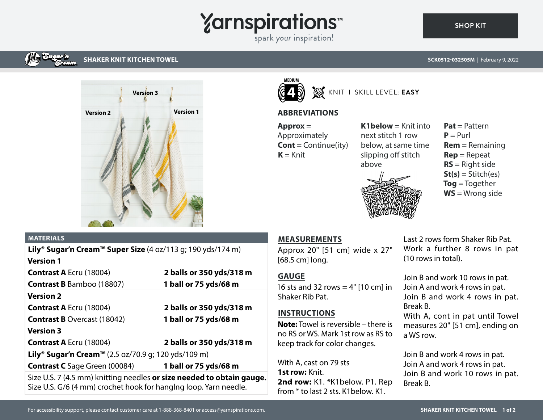# **Yarnspirations**

spark your inspiration!

#### **SCK0512-032505M** | February 9, 2022



**SHAKER KNIT KITCHEN TOWEL**

#### **MATERIALS**

| <b>Lily<sup>®</sup> Sugar'n Cream™ Super Size</b> (4 oz/113 q; 190 yds/174 m)                                                             |                          |
|-------------------------------------------------------------------------------------------------------------------------------------------|--------------------------|
| <b>Version 1</b>                                                                                                                          |                          |
| <b>Contrast A Ecru (18004)</b>                                                                                                            | 2 balls or 350 yds/318 m |
| <b>Contrast B</b> Bamboo (18807)                                                                                                          | 1 ball or 75 yds/68 m    |
| <b>Version 2</b>                                                                                                                          |                          |
| <b>Contrast A Ecru (18004)</b>                                                                                                            | 2 balls or 350 yds/318 m |
| <b>Contrast B Overcast (18042)</b>                                                                                                        | 1 ball or 75 yds/68 m    |
| <b>Version 3</b>                                                                                                                          |                          |
| <b>Contrast A Ecru (18004)</b>                                                                                                            | 2 balls or 350 yds/318 m |
| Lily <sup>®</sup> Sugar'n Cream™ (2.5 oz/70.9 q; 120 yds/109 m)                                                                           |                          |
| <b>Contrast C</b> Sage Green (00084)                                                                                                      | 1 ball or 75 yds/68 m    |
| Size U.S. 7 (4.5 mm) knitting needles or size needed to obtain gauge.<br>Size U.S. G/6 (4 mm) crochet hook for hanging loop. Yarn needle. |                          |



# KNIT I SKILL LEVEL: **EASY**

# **ABBREVIATIONS**

**Approx** = Approximately **Cont** = Continue(ity)  $K = Knit$ 

 $K1$ **below** = Knit into next stitch 1 row below, at same time slipping off stitch above





Approx 20" [51 cm] wide x 27" [68.5 cm] long.

### **GAUGE**

16 sts and 32 rows  $= 4"$  [10 cm] in Shaker Rib Pat.

#### **INSTRUCTIONS**

**Note:** Towel is reversible – there is no RS or WS. Mark 1st row as RS to keep track for color changes.

With A, cast on 79 sts **1st row:** Knit. 2nd row: K1. \*K1below. P1. Rep from \* to last 2 sts. K1below. K1.

Last 2 rows form Shaker Rib Pat. Work a further 8 rows in pat (10 rows in total).

Join B and work 10 rows in pat. Join A and work 4 rows in pat. Join B and work 4 rows in pat. Break B.

With A, cont in pat until Towel measures 20" [51 cm], ending on a WS row.

Join B and work 4 rows in pat. Join A and work 4 rows in pat. Join B and work 10 rows in pat. Break B.